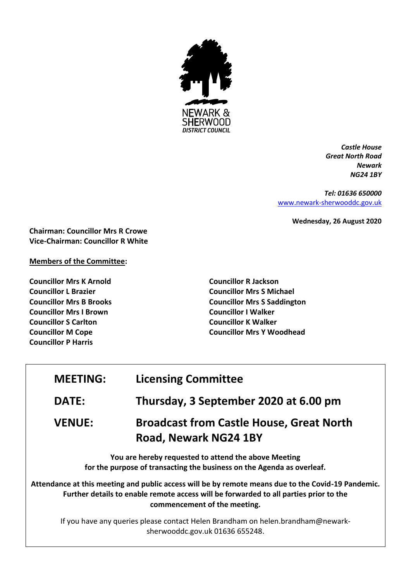

*Castle House Great North Road Newark NG24 1BY*

*Tel: 01636 650000* [www.newark-sherwooddc.gov.uk](http://www.newark-sherwooddc.gov.uk/)

**Wednesday, 26 August 2020**

**Chairman: Councillor Mrs R Crowe Vice-Chairman: Councillor R White**

# **Members of the Committee:**

**Councillor Mrs K Arnold Councillor L Brazier Councillor Mrs B Brooks Councillor Mrs I Brown Councillor S Carlton Councillor M Cope Councillor P Harris**

**Councillor R Jackson Councillor Mrs S Michael Councillor Mrs S Saddington Councillor I Walker Councillor K Walker Councillor Mrs Y Woodhead**

| <b>MEETING:</b> | <b>Licensing Committee</b>                                                                                                                                                                                                  |
|-----------------|-----------------------------------------------------------------------------------------------------------------------------------------------------------------------------------------------------------------------------|
| <b>DATE:</b>    | Thursday, 3 September 2020 at 6.00 pm                                                                                                                                                                                       |
| <b>VENUE:</b>   | <b>Broadcast from Castle House, Great North</b><br><b>Road, Newark NG24 1BY</b>                                                                                                                                             |
|                 | You are hereby requested to attend the above Meeting<br>for the purpose of transacting the business on the Agenda as overleaf.                                                                                              |
|                 | Attendance at this meeting and public access will be by remote means due to the Covid-19 Pandemic.<br>Further details to enable remote access will be forwarded to all parties prior to the<br>commencement of the meeting. |
|                 | If you have any queries please sentast Helen Brandham on helen brandham@newark                                                                                                                                              |

If you have any queries please contact Helen Brandham on helen.brandham@newarksherwooddc.gov.uk 01636 655248.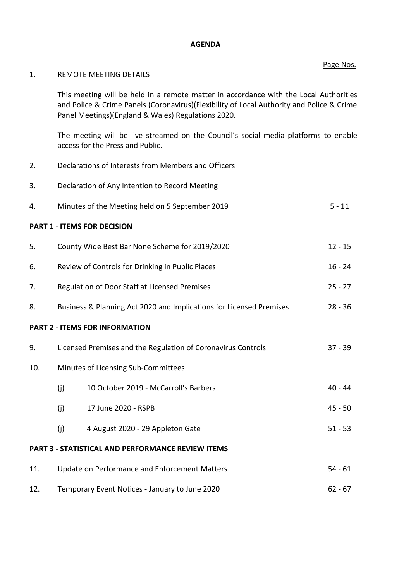#### **AGENDA**

### Page Nos.

## 1. REMOTE MEETING DETAILS

This meeting will be held in a remote matter in accordance with the Local Authorities and Police & Crime Panels (Coronavirus)(Flexibility of Local Authority and Police & Crime Panel Meetings)(England & Wales) Regulations 2020.

The meeting will be live streamed on the Council's social media platforms to enable access for the Press and Public.

- 2. Declarations of Interests from Members and Officers
- 3. Declaration of Any Intention to Record Meeting
- 4. Minutes of the Meeting held on 5 September 2019 5 11

## **PART 1 - ITEMS FOR DECISION**

| 5.                                                       | County Wide Best Bar None Scheme for 2019/2020                                   |                                       |           |  |
|----------------------------------------------------------|----------------------------------------------------------------------------------|---------------------------------------|-----------|--|
| 6.                                                       | Review of Controls for Drinking in Public Places                                 |                                       |           |  |
| 7.                                                       | Regulation of Door Staff at Licensed Premises                                    |                                       |           |  |
| 8.                                                       | Business & Planning Act 2020 and Implications for Licensed Premises<br>$28 - 36$ |                                       |           |  |
| <b>PART 2 - ITEMS FOR INFORMATION</b>                    |                                                                                  |                                       |           |  |
| 9.                                                       | Licensed Premises and the Regulation of Coronavirus Controls                     |                                       | $37 - 39$ |  |
| 10.                                                      | Minutes of Licensing Sub-Committees                                              |                                       |           |  |
|                                                          | (j)                                                                              | 10 October 2019 - McCarroll's Barbers | $40 - 44$ |  |
|                                                          | (j)                                                                              | 17 June 2020 - RSPB                   | $45 - 50$ |  |
|                                                          | (j)                                                                              | 4 August 2020 - 29 Appleton Gate      | $51 - 53$ |  |
| <b>PART 3 - STATISTICAL AND PERFORMANCE REVIEW ITEMS</b> |                                                                                  |                                       |           |  |
| 11.                                                      | Update on Performance and Enforcement Matters                                    |                                       | $54 - 61$ |  |
|                                                          |                                                                                  |                                       |           |  |

12. Temporary Event Notices - January to June 2020 62 - 67